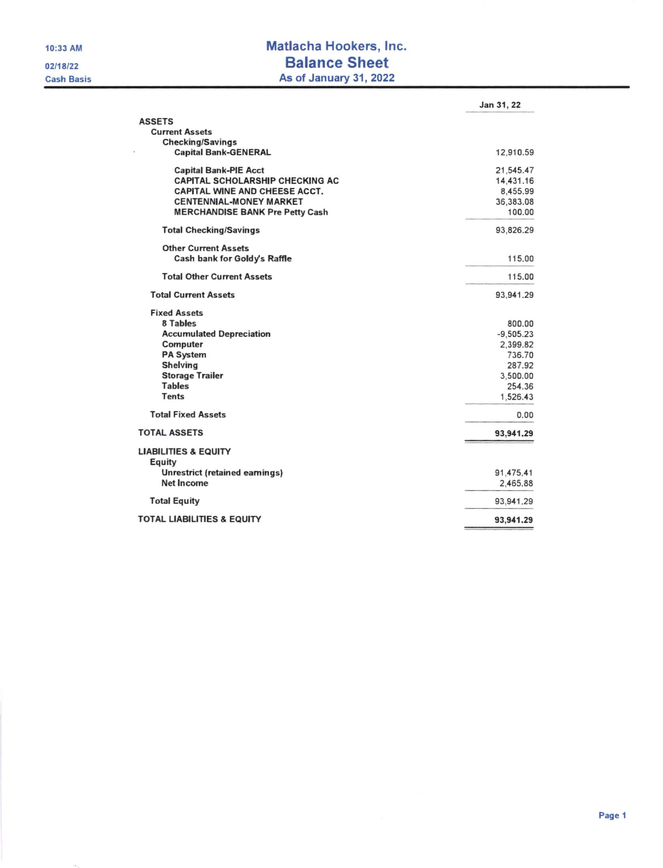## Matlacha Hookers, Inc. **Balance Sheet** As of January 31, 2022

|                                        | Jan 31, 22  |
|----------------------------------------|-------------|
| <b>ASSETS</b>                          |             |
| <b>Current Assets</b>                  |             |
| <b>Checking/Savings</b>                |             |
| <b>Capital Bank-GENERAL</b>            | 12,910.59   |
| <b>Capital Bank-PIE Acct</b>           | 21,545.47   |
| CAPITAL SCHOLARSHIP CHECKING AC        | 14,431.16   |
| <b>CAPITAL WINE AND CHEESE ACCT.</b>   | 8,455.99    |
| <b>CENTENNIAL-MONEY MARKET</b>         | 36,383.08   |
| <b>MERCHANDISE BANK Pre Petty Cash</b> | 100.00      |
| <b>Total Checking/Savings</b>          | 93,826.29   |
| <b>Other Current Assets</b>            |             |
| Cash bank for Goldy's Raffle           | 115.00      |
| <b>Total Other Current Assets</b>      | 115.00      |
| <b>Total Current Assets</b>            | 93,941.29   |
| <b>Fixed Assets</b>                    |             |
| 8 Tables                               | 800.00      |
| <b>Accumulated Depreciation</b>        | $-9,505.23$ |
| <b>Computer</b>                        | 2,399.82    |
| <b>PA System</b>                       | 736.70      |
| <b>Shelving</b>                        | 287.92      |
| <b>Storage Trailer</b>                 | 3,500.00    |
| <b>Tables</b>                          | 254.36      |
| <b>Tents</b>                           | 1,526.43    |
| <b>Total Fixed Assets</b>              | 0.00        |
| <b>TOTAL ASSETS</b>                    | 93,941.29   |
| <b>LIABILITIES &amp; EQUITY</b>        |             |
| Equity                                 |             |
| <b>Unrestrict (retained earnings)</b>  | 91,475.41   |
| <b>Net Income</b>                      | 2,465.88    |
| <b>Total Equity</b>                    | 93,941.29   |
| <b>TOTAL LIABILITIES &amp; EQUITY</b>  | 93,941.29   |
|                                        |             |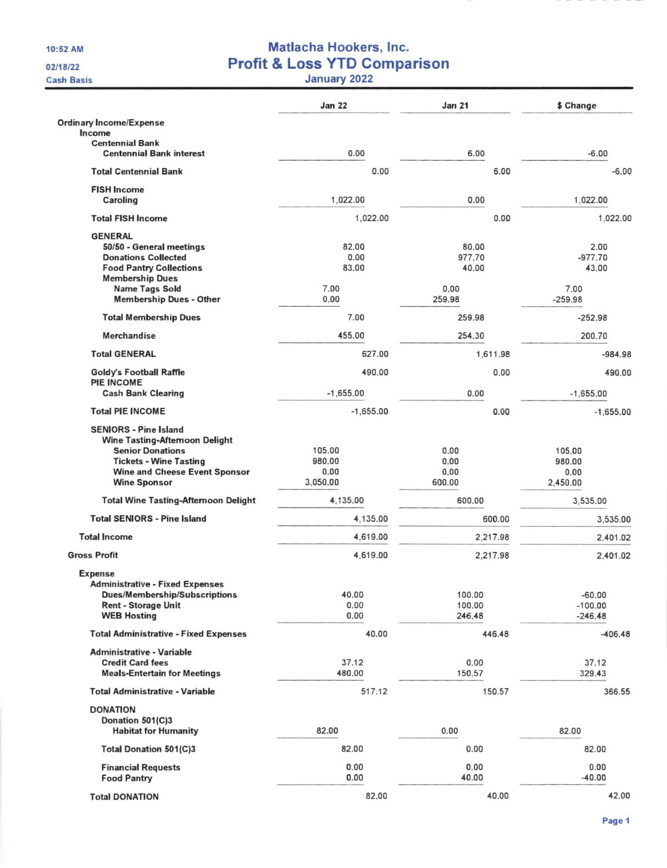10:52 AM

02/18/22

**Cash Basis** 

## Matlacha Hookers, Inc.<br>Profit & Loss YTD Comparison<br>January 2022

|                                                                                                                                                                           | <b>Jan 22</b>            | <b>Jan 21</b>        | \$ Change                |
|---------------------------------------------------------------------------------------------------------------------------------------------------------------------------|--------------------------|----------------------|--------------------------|
| <b>Ordinary Income/Expense</b><br>Income                                                                                                                                  |                          |                      |                          |
| <b>Centennial Bank</b><br><b>Centennial Bank interest</b>                                                                                                                 | 0.00                     | 6.00                 | $-6.00$                  |
| <b>Total Centennial Bank</b>                                                                                                                                              | 0.00                     | 6.00                 | $-6.00$                  |
| <b>FISH Income</b><br>Caroling                                                                                                                                            | 1,022.00                 | 0.00                 | 1,022.00                 |
| <b>Total FISH Income</b>                                                                                                                                                  | 1,022.00                 | 0.00                 | 1.022.00                 |
| <b>GENERAL</b>                                                                                                                                                            |                          |                      |                          |
| 50/50 - General meetings                                                                                                                                                  | 82.00                    | 80.00                | 2.00                     |
| <b>Donations Collected</b>                                                                                                                                                | 0.00                     | 977.70               | $-977.70$                |
| <b>Food Pantry Collections</b>                                                                                                                                            | 83.00                    | 40.00                | 43.00                    |
| <b>Membership Dues</b>                                                                                                                                                    |                          |                      |                          |
| <b>Name Tags Sold</b>                                                                                                                                                     | 7.00                     | 0.00                 | 7.00                     |
| <b>Membership Dues - Other</b>                                                                                                                                            | 0.00                     | 259,98               | $-259.98$                |
| <b>Total Membership Dues</b>                                                                                                                                              | 7.00                     | 259.98               | $-252.98$                |
| Merchandise                                                                                                                                                               | 455.00                   | 254.30               | 200.70                   |
| <b>Total GENERAL</b>                                                                                                                                                      | 627.00                   | 1,611.98             | $-984.98$                |
| <b>Goldy's Football Raffle</b><br>PIE INCOME                                                                                                                              | 490.00                   | 0.00                 | 490.00                   |
| <b>Cash Bank Clearing</b>                                                                                                                                                 | $-1,655.00$              | 0.00                 | $-1,655.00$              |
| <b>Total PIE INCOME</b>                                                                                                                                                   | $-1,655.00$              | 0.00                 | $-1,655.00$              |
| <b>SENIORS - Pine Island</b><br><b>Wine Tasting-Afternoon Delight</b><br><b>Senior Donations</b><br><b>Tickets - Wine Tasting</b><br><b>Wine and Cheese Event Sponsor</b> | 105.00<br>980.00<br>0.00 | 0.00<br>0.00<br>0.00 | 105.00<br>980.00<br>0.00 |
| <b>Wine Sponsor</b>                                                                                                                                                       | 3,050.00                 | 600.00               | 2,450.00                 |
| <b>Total Wine Tasting-Afternoon Delight</b>                                                                                                                               | 4,135.00                 | 600.00               | 3,535.00                 |
| <b>Total SENIORS - Pine Island</b><br><b>Total Income</b>                                                                                                                 | 4,135.00                 | 600.00               | 3,535.00                 |
| <b>Gross Profit</b>                                                                                                                                                       | 4,619.00                 | 2,217.98             | 2,401.02                 |
|                                                                                                                                                                           | 4,619.00                 | 2,217.98             | 2,401.02                 |
| <b>Expense</b><br><b>Administrative - Fixed Expenses</b>                                                                                                                  |                          |                      |                          |
| <b>Dues/Membership/Subscriptions</b>                                                                                                                                      | 40.00                    | 100.00               | $-60.00$                 |
| Rent - Storage Unit                                                                                                                                                       | 0.00                     | 100.00               | $-100.00$                |
| <b>WEB Hosting</b>                                                                                                                                                        | 0.00                     | 246.48               | $-246.48$                |
| <b>Total Administrative - Fixed Expenses</b>                                                                                                                              | 40.00                    | 446.48               | $-406.48$                |
| <b>Administrative - Variable</b>                                                                                                                                          |                          |                      |                          |
| <b>Credit Card fees</b>                                                                                                                                                   | 37.12                    | 0.00                 | 37.12                    |
| <b>Meals-Entertain for Meetings</b>                                                                                                                                       | 480.00                   | 150.57               | 329.43                   |
| <b>Total Administrative - Variable</b>                                                                                                                                    | 517.12                   | 150.57               | 366.55                   |
| <b>DONATION</b>                                                                                                                                                           |                          |                      |                          |
| Donation 501(C)3                                                                                                                                                          |                          |                      |                          |
| <b>Habitat for Humanity</b>                                                                                                                                               | 82.00                    | 0.00                 | 82.00                    |
| <b>Total Donation 501(C)3</b>                                                                                                                                             | 82.00                    | 0.00                 | 82.00                    |
| <b>Financial Requests</b><br><b>Food Pantry</b>                                                                                                                           | 0.00<br>0.00             | 0.00<br>40.00        | 0.00<br>$-40.00$         |
| <b>Total DONATION</b>                                                                                                                                                     | 82.00                    | 40.00                | 42.00                    |